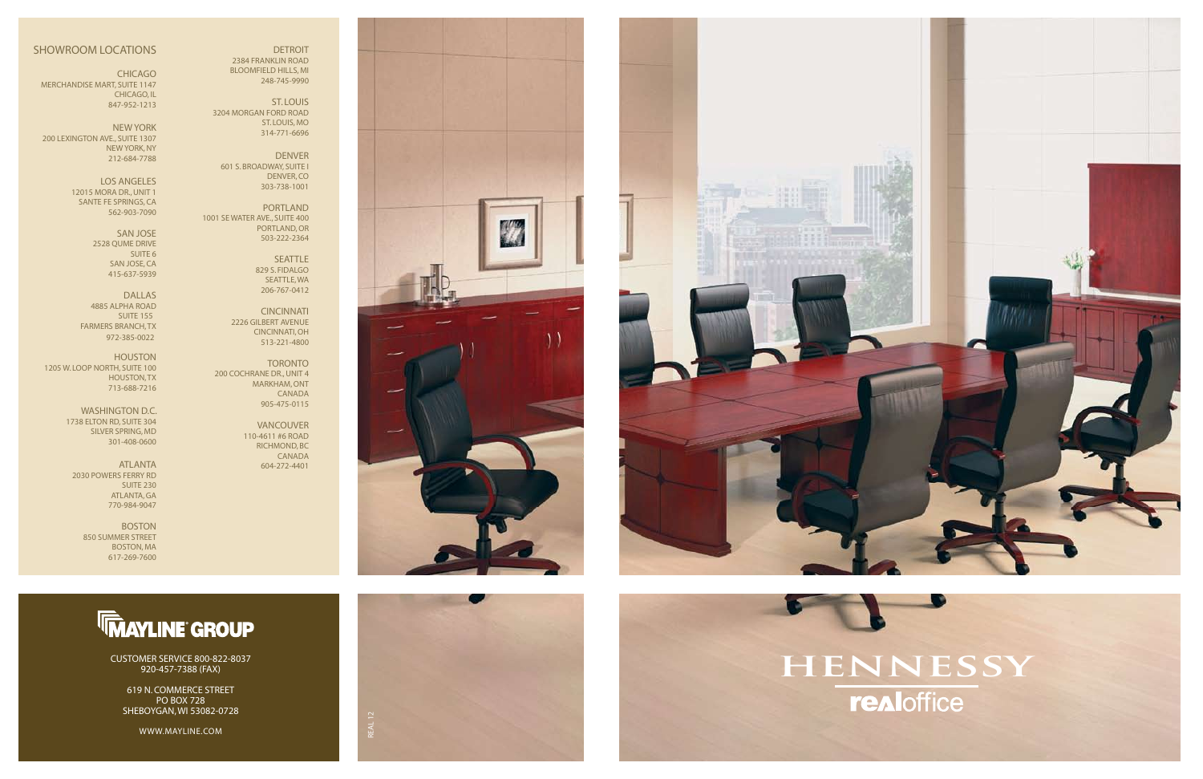#### SHOWROOM LOCATIONS

CHICAGO MERCHANDISE MART, SUITE 1147 CHICAGO, IL 847-952-1213

NEW YORK 200 LEXINGTON AVE., SUITE 1307 NEW YORK, NY 212-684-7788

> LOS ANGELES 12015 MORA DR., UNIT 1 SANTE FE SPRINGS, CA 562-903-7090

> > SAN JOSE 2528 QUME DRIVE SUITE 6 SAN JOSE, CA 415-637-5939

DALLAS 4885 ALPHA ROAD SUITE 155 FARMERS BRANCH, TX 972-385-0022

HOUSTON 1205 W. LOOP NORTH, SUITE 100 HOUSTON, TX 713-688-7216

> WASHINGTON D.C. 1738 ELTON RD, SUITE 304 SILVER SPRING, MD 301-408-0600

ATLANTA 2030 POWERS FERRY RD SUITE 230 ATLANTA, GA 770-984-9047

> BOSTON 850 SUMMER STREET BOSTON, MA 617-269-7600

# **hennessyrealoffice**







 DETROIT 2384 FRANKLIN ROAD BLOOMFIELD HILLS, MI 248-745-9990

ST. LOUIS 3204 MORGAN FORD ROAD ST. LOUIS, MO 314-771-6696

DENVER 601 S. BROADWAY, SUITE I DENVER, CO 303-738-1001

PORTLAND 1001 SE WATER AVE., SUITE 400 PORTLAND, OR 503-222-2364

> SEATTLE 829 S. FIDALGO SEATTLE, WA 206-767-0412

CINCINNATI 2226 GILBERT AVENUE CINCINNATI, OH 513-221-4800

TORONTO 200 COCHRANE DR., UNIT 4 MARKHAM, ONT CANADA 905-475-0115

> VANCOUVER 110-4611 #6 ROAD RICHMOND, BC CANADA 604-272-4401



## **TMAYLINE GROUP**

CUSTOMER SERVICE 800-822-8037 920-457-7388 (FAX)

619 N. COMMERCE STREET PO BOX 728 SHEBOYGAN, WI 53082-0728

WWW.MAYLINE.COM